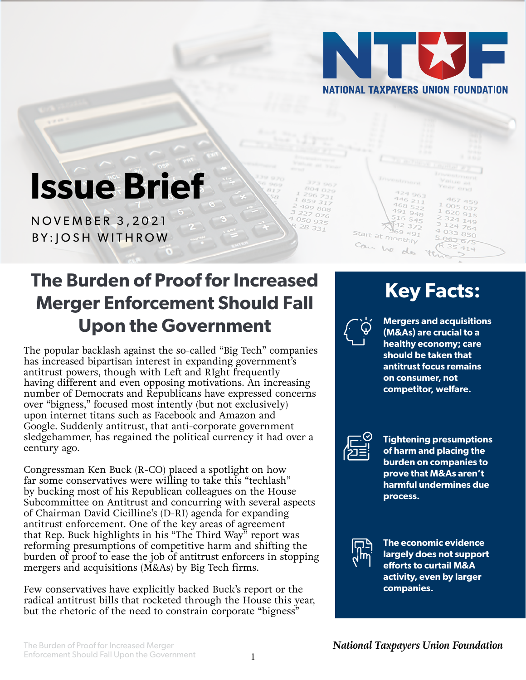

 $522$ 

 $948$ 

 $69491$ 

Start at monthly

Can he

# **Issue Brief**

NOVEMBER 3,2021 BY:JOSH WITHROW

### **The Burden of Proof for Increased Merger Enforcement Should Fall Upon the Government**

The popular backlash against the so-called "Big Tech" companies has increased bipartisan interest in expanding government's antitrust powers, though with Left and RIght frequently having different and even opposing motivations. An increasing number of Democrats and Republicans have expressed concerns over "bigness," focused most intently (but not exclusively) upon internet titans such as Facebook and Amazon and Google. Suddenly antitrust, that anti-corporate government sledgehammer, has regained the political currency it had over a century ago.

Congressman Ken Buck (R-CO) placed a spotlight on how far some conservatives were willing to take this "techlash" by bucking most of his Republican colleagues on the House Subcommittee on Antitrust and concurring with several aspects of Chairman David Cicilline's (D-RI) agenda for expanding antitrust enforcement. One of the key areas of agreement that Rep. Buck highlights in his "The Third Way" report was reforming presumptions of competitive harm and shifting the burden of proof to ease the job of antitrust enforcers in stopping mergers and acquisitions (M&As) by Big Tech firms.

Few conservatives have explicitly backed Buck's report or the radical antitrust bills that rocketed through the House this year, but the rhetoric of the need to constrain corporate "bigness"

## **Key Facts:**

 $324149$ 

5-063-075

764  $^{4}$  033 850



199 808  $227076$ 

 $4050935$ 

28 331

**Mergers and acquisitions (M&As) are crucial to a healthy economy; care should be taken that antitrust focus remains on consumer, not competitor, welfare.**



**Tightening presumptions of harm and placing the burden on companies to prove that M&As aren't harmful undermines due process.**



**The economic evidence largely does not support efforts to curtail M&A activity, even by larger companies.**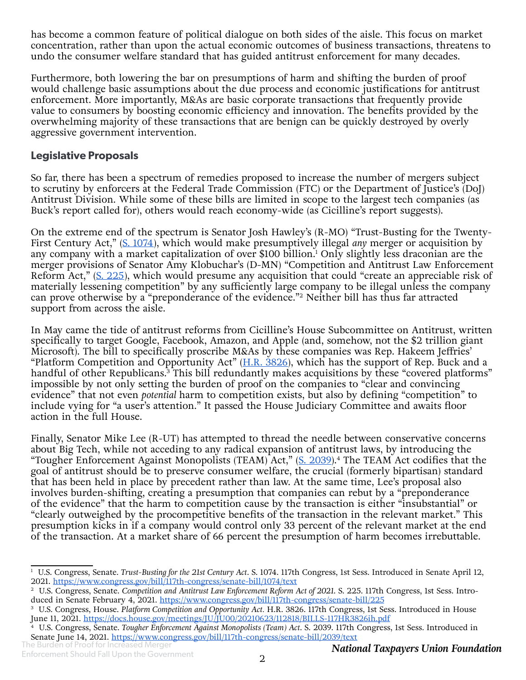has become a common feature of political dialogue on both sides of the aisle. This focus on market concentration, rather than upon the actual economic outcomes of business transactions, threatens to undo the consumer welfare standard that has guided antitrust enforcement for many decades.

Furthermore, both lowering the bar on presumptions of harm and shifting the burden of proof would challenge basic assumptions about the due process and economic justifications for antitrust enforcement. More importantly, M&As are basic corporate transactions that frequently provide value to consumers by boosting economic efficiency and innovation. The benefits provided by the overwhelming majority of these transactions that are benign can be quickly destroyed by overly aggressive government intervention.

#### **Legislative Proposals**

So far, there has been a spectrum of remedies proposed to increase the number of mergers subject to scrutiny by enforcers at the Federal Trade Commission (FTC) or the Department of Justice's (DoJ) Antitrust Division. While some of these bills are limited in scope to the largest tech companies (as Buck's report called for), others would reach economy-wide (as Cicilline's report suggests).

On the extreme end of the spectrum is Senator Josh Hawley's (R-MO) "Trust-Busting for the Twenty-First Century Act," ([S. 1074\)](https://www.congress.gov/bill/117th-congress/senate-bill/1074/text), which would make presumptively illegal *any* merger or acquisition by any company with a market capitalization of over \$100 billion.<sup>1</sup> Only slightly less draconian are the merger provisions of Senator Amy Klobuchar's (D-MN) "Competition and Antitrust Law Enforcement Reform Act," [\(S. 225\)](https://www.congress.gov/bill/117th-congress/senate-bill/225), which would presume any acquisition that could "create an appreciable risk of materially lessening competition" by any sufficiently large company to be illegal unless the company can prove otherwise by a "preponderance of the evidence."<sup>2</sup> Neither bill has thus far attracted support from across the aisle.

In May came the tide of antitrust reforms from Cicilline's House Subcommittee on Antitrust, written specifically to target Google, Facebook, Amazon, and Apple (and, somehow, not the \$2 trillion giant Microsoft). The bill to specifically proscribe M&As by these companies was Rep. Hakeem Jeffries' "Platform Competition and Opportunity Act"  $(H.R. 3826)$  $(H.R. 3826)$  $(H.R. 3826)$ , which has the support of Rep. Buck and a handful of other Republicans.<sup>3</sup> This bill redundantly makes acquisitions by these "covered platforms" impossible by not only setting the burden of proof on the companies to "clear and convincing evidence" that not even *potential* harm to competition exists, but also by defining "competition" to include vying for "a user's attention." It passed the House Judiciary Committee and awaits floor action in the full House.

Finally, Senator Mike Lee (R-UT) has attempted to thread the needle between conservative concerns about Big Tech, while not acceding to any radical expansion of antitrust laws, by introducing the "Tougher Enforcement Against Monopolists (TEAM) Act,"  $(S. 2039)$  $(S. 2039)$ .<sup>4</sup> The TEAM Act codifies that the goal of antitrust should be to preserve consumer welfare, the crucial (formerly bipartisan) standard that has been held in place by precedent rather than law. At the same time, Lee's proposal also involves burden-shifting, creating a presumption that companies can rebut by a "preponderance of the evidence" that the harm to competition cause by the transaction is either "insubstantial" or "clearly outweighed by the procompetitive benefits of the transaction in the relevant market." This presumption kicks in if a company would control only 33 percent of the relevant market at the end of the transaction. At a market share of 66 percent the presumption of harm becomes irrebuttable.

<sup>&</sup>lt;sup>1</sup> U.S. Congress, Senate. *Trust-Busting for the 21st Century Act*. S. 1074. 117th Congress, 1st Sess. Introduced in Senate April 12, 2021. <https://www.congress.gov/bill/117th-congress/senate-bill/1074/text>

<sup>&</sup>lt;sup>2</sup> U.S. Congress, Senate. *Competition and Antitrust Law Enforcement Reform Act of 2021*. S. 225. 117th Congress, 1st Sess. Introduced in Senate February 4, 2021. <https://www.congress.gov/bill/117th-congress/senate-bill/225>

<sup>3</sup> U.S. Congress, House. *Platform Competition and Opportunity Act.* H.R. 3826. 117th Congress, 1st Sess. Introduced in House June 11, 2021.<https://docs.house.gov/meetings/JU/JU00/20210623/112818/BILLS-117HR3826ih.pdf>

<sup>4</sup> U.S. Congress, Senate. *Tougher Enforcement Against Monopolists (Team) Act*. S. 2039. 117th Congress, 1st Sess. Introduced in Senate June 14, 2021. <https://www.congress.gov/bill/117th-congress/senate-bill/2039/text>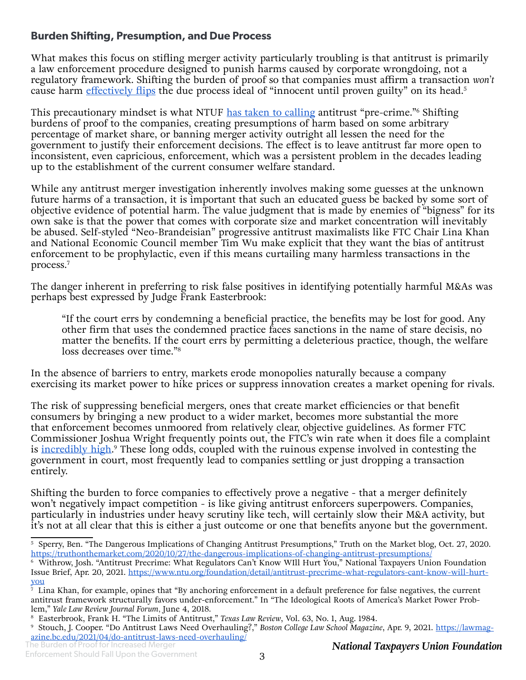#### **Burden Shifting, Presumption, and Due Process**

What makes this focus on stifling merger activity particularly troubling is that antitrust is primarily a law enforcement procedure designed to punish harms caused by corporate wrongdoing, not a regulatory framework. Shifting the burden of proof so that companies must affirm a transaction *won't* cause harm [effectively flips](https://truthonthemarket.com/2020/10/27/the-dangerous-implications-of-changing-antitrust-presumptions/) the due process ideal of "innocent until proven guilty" on its head.<sup>5</sup>

This precautionary mindset is what NTUF <u>[has taken to calling](https://www.ntu.org/foundation/detail/antitrust-precrime-what-regulators-cant-know-will-hurt-you)</u> antitrust "pre-crime."<sup>6</sup> Shifting burdens of proof to the companies, creating presumptions of harm based on some arbitrary percentage of market share, or banning merger activity outright all lessen the need for the government to justify their enforcement decisions. The effect is to leave antitrust far more open to inconsistent, even capricious, enforcement, which was a persistent problem in the decades leading up to the establishment of the current consumer welfare standard.

While any antitrust merger investigation inherently involves making some guesses at the unknown future harms of a transaction, it is important that such an educated guess be backed by some sort of objective evidence of potential harm. The value judgment that is made by enemies of "bigness" for its own sake is that the power that comes with corporate size and market concentration will inevitably be abused. Self-styled "Neo-Brandeisian" progressive antitrust maximalists like FTC Chair Lina Khan and National Economic Council member Tim Wu make explicit that they want the bias of antitrust enforcement to be prophylactic, even if this means curtailing many harmless transactions in the process.7

The danger inherent in preferring to risk false positives in identifying potentially harmful M&As was perhaps best expressed by Judge Frank Easterbrook:

"If the court errs by condemning a beneficial practice, the benefits may be lost for good. Any other firm that uses the condemned practice faces sanctions in the name of stare decisis, no matter the benefits. If the court errs by permitting a deleterious practice, though, the welfare loss decreases over time."8

In the absence of barriers to entry, markets erode monopolies naturally because a company exercising its market power to hike prices or suppress innovation creates a market opening for rivals.

The risk of suppressing beneficial mergers, ones that create market efficiencies or that benefit consumers by bringing a new product to a wider market, becomes more substantial the more that enforcement becomes unmoored from relatively clear, objective guidelines. As former FTC Commissioner Joshua Wright frequently points out, the FTC's win rate when it does file a complaint is <u>incredibly high</u>.<sup>9</sup> These long odds, coupled with the ruinous expense involved in contesting the government in court, most frequently lead to companies settling or just dropping a transaction entirely.

Shifting the burden to force companies to effectively prove a negative - that a merger definitely won't negatively impact competition - is like giving antitrust enforcers superpowers. Companies, particularly in industries under heavy scrutiny like tech, will certainly slow their M&A activity, but it's not at all clear that this is either a just outcome or one that benefits anyone but the government.

<sup>5</sup> Sperry, Ben. "The Dangerous Implications of Changing Antitrust Presumptions," Truth on the Market blog, Oct. 27, 2020. <https://truthonthemarket.com/2020/10/27/the-dangerous-implications-of-changing-antitrust-presumptions/>

<sup>6</sup> Withrow, Josh. "Antitrust Precrime: What Regulators Can't Know WIll Hurt You," National Taxpayers Union Foundation Issue Brief, Apr. 20, 2021. [https://www.ntu.org/foundation/detail/antitrust-precrime-what-regulators-cant-know-will-hurt](https://www.ntu.org/foundation/detail/antitrust-precrime-what-regulators-cant-know-will-hurt-you)[you](https://www.ntu.org/foundation/detail/antitrust-precrime-what-regulators-cant-know-will-hurt-you)

<sup>7</sup> Lina Khan, for example, opines that "By anchoring enforcement in a default preference for false negatives, the current antitrust framework structurally favors under-enforcement." In "The Ideological Roots of America's Market Power Problem," *Yale Law Review Journal Forum,* June 4, 2018.

<sup>8</sup> Easterbrook, Frank H. "The Limits of Antitrust," *Texas Law Review*, Vol. 63, No. 1, Aug. 1984.

<sup>9</sup> Stouch, J. Cooper. "Do Antitrust Laws Need Overhauling?," *Boston College Law School Magazine*, Apr. 9, 2021. [https://lawmag](https://lawmagazine.bc.edu/2021/04/do-antitrust-laws-need-overhauling/)[azine.bc.edu/2021/04/do-antitrust-laws-need-overhauling/](https://lawmagazine.bc.edu/2021/04/do-antitrust-laws-need-overhauling/)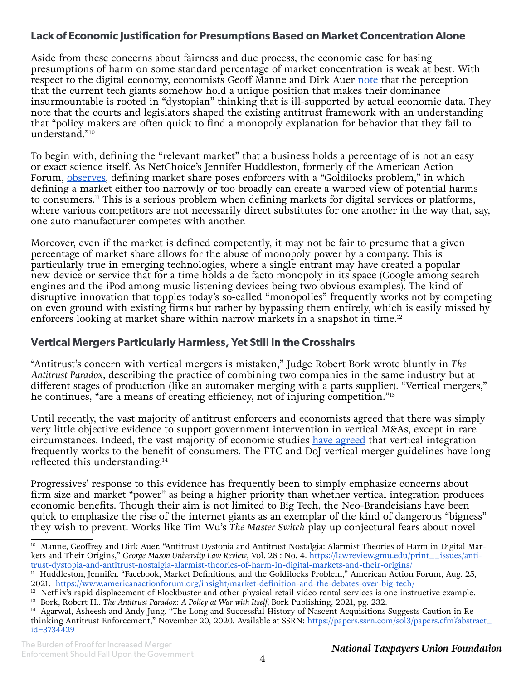#### **Lack of Economic Justification for Presumptions Based on Market Concentration Alone**

Aside from these concerns about fairness and due process, the economic case for basing presumptions of harm on some standard percentage of market concentration is weak at best. With respect to the digital economy, economists Geoff Manne and Dirk Auer [note](https://lawreview.gmu.edu/print__issues/antitrust-dystopia-and-antitrust-nostalgia-alarmist-theories-of-harm-in-digital-markets-and-their-origins/) that the perception that the current tech giants somehow hold a unique position that makes their dominance insurmountable is rooted in "dystopian" thinking that is ill-supported by actual economic data. They note that the courts and legislators shaped the existing antitrust framework with an understanding that "policy makers are often quick to find a monopoly explanation for behavior that they fail to understand."10

To begin with, defining the "relevant market" that a business holds a percentage of is not an easy or exact science itself. As NetChoice's Jennifer Huddleston, formerly of the American Action Forum, [observes](https://www.americanactionforum.org/insight/market-definition-and-the-debates-over-big-tech/), defining market share poses enforcers with a "Goldilocks problem," in which defining a market either too narrowly or too broadly can create a warped view of potential harms to consumers.<sup>11</sup> This is a serious problem when defining markets for digital services or platforms, where various competitors are not necessarily direct substitutes for one another in the way that, say, one auto manufacturer competes with another.

Moreover, even if the market is defined competently, it may not be fair to presume that a given percentage of market share allows for the abuse of monopoly power by a company. This is particularly true in emerging technologies, where a single entrant may have created a popular new device or service that for a time holds a de facto monopoly in its space (Google among search engines and the iPod among music listening devices being two obvious examples). The kind of disruptive innovation that topples today's so-called "monopolies" frequently works not by competing on even ground with existing firms but rather by bypassing them entirely, which is easily missed by enforcers looking at market share within narrow markets in a snapshot in time.<sup>12</sup>

#### **Vertical Mergers Particularly Harmless, Yet Still in the Crosshairs**

"Antitrust's concern with vertical mergers is mistaken," Judge Robert Bork wrote bluntly in *The Antitrust Paradox*, describing the practice of combining two companies in the same industry but at different stages of production (like an automaker merging with a parts supplier)*.* "Vertical mergers," he continues, "are a means of creating efficiency, not of injuring competition."<sup>13</sup>

Until recently, the vast majority of antitrust enforcers and economists agreed that there was simply very little objective evidence to support government intervention in vertical M&As, except in rare circumstances. Indeed, the vast majority of economic studies [have agreed](https://papers.ssrn.com/sol3/papers.cfm?abstract_id=3734429) that vertical integration frequently works to the benefit of consumers. The FTC and DoJ vertical merger guidelines have long reflected this understanding.14

Progressives' response to this evidence has frequently been to simply emphasize concerns about firm size and market "power" as being a higher priority than whether vertical integration produces economic benefits. Though their aim is not limited to Big Tech, the Neo-Brandeisians have been quick to emphasize the rise of the internet giants as an exemplar of the kind of dangerous "bigness" they wish to prevent. Works like Tim Wu's *The Master Switch* play up conjectural fears about novel

<sup>&</sup>lt;sup>10</sup> Manne, Geoffrey and Dirk Auer. "Antitrust Dystopia and Antitrust Nostalgia: Alarmist Theories of Harm in Digital Markets and Their Origins," *George Mason University Law Review*, Vol. 28 : No. 4. [https://lawreview.gmu.edu/print\\_\\_issues/anti](https://lawreview.gmu.edu/print__issues/antitrust-dystopia-and-antitrust-nostalgia-alarmist-theories-of-harm-in-digital-markets-and-their-origins/)[trust-dystopia-and-antitrust-nostalgia-alarmist-theories-of-harm-in-digital-markets-and-their-origins/](https://lawreview.gmu.edu/print__issues/antitrust-dystopia-and-antitrust-nostalgia-alarmist-theories-of-harm-in-digital-markets-and-their-origins/)

<sup>&</sup>lt;sup>11</sup> Huddleston, Jennifer. "Facebook, Market Definitions, and the Goldilocks Problem," American Action Forum, Aug. 25, 2021. <https://www.americanactionforum.org/insight/market-definition-and-the-debates-over-big-tech/>

 $12$  Netflix's rapid displacement of Blockbuster and other physical retail video rental services is one instructive example.

<sup>13</sup> Bork, Robert H.. *The Antitrust Paradox: A Policy at War with Itself,* Bork Publishing, 2021, pg. 232.

<sup>&</sup>lt;sup>14</sup> Agarwal, Asheesh and Andy Jung. "The Long and Successful History of Nascent Acquisitions Suggests Caution in Rethinking Antitrust Enforcement," November 20, 2020. Available at SSRN: [https://papers.ssrn.com/sol3/papers.cfm?abstract\\_](https://papers.ssrn.com/sol3/papers.cfm?abstract_id=3734429) [id=3734429](https://papers.ssrn.com/sol3/papers.cfm?abstract_id=3734429)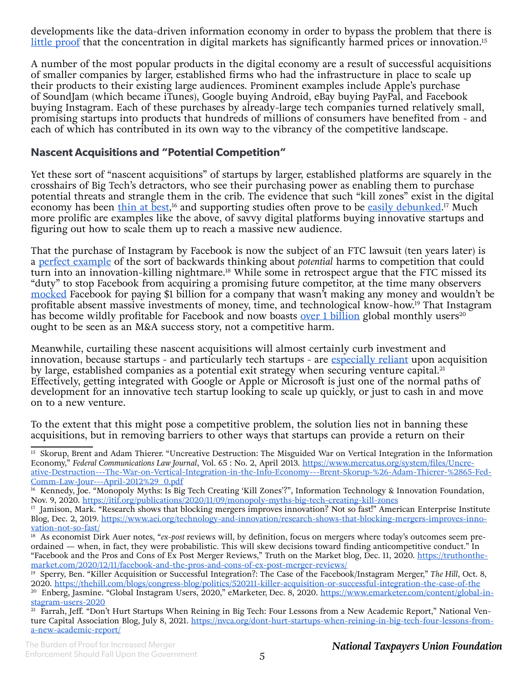developments like the data-driven information economy in order to bypass the problem that there is [little proof](https://www.mercatus.org/system/files/Uncreative-Destruction---The-War-on-Vertical-Integration-in-the-Info-Economy---Brent-Skorup-%26-Adam-Thierer-%2865-Fed-Comm-Law-Jour---April-2012%29_0.pdf) that the concentration in digital markets has significantly harmed prices or innovation.<sup>15</sup>

A number of the most popular products in the digital economy are a result of successful acquisitions of smaller companies by larger, established firms who had the infrastructure in place to scale up their products to their existing large audiences. Prominent examples include Apple's purchase of SoundJam (which became iTunes), Google buying Android, eBay buying PayPal, and Facebook buying Instagram. Each of these purchases by already-large tech companies turned relatively small, promising startups into products that hundreds of millions of consumers have benefited from - and each of which has contributed in its own way to the vibrancy of the competitive landscape.

#### **Nascent Acquisitions and "Potential Competition"**

Yet these sort of "nascent acquisitions" of startups by larger, established platforms are squarely in the crosshairs of Big Tech's detractors, who see their purchasing power as enabling them to purchase potential threats and strangle them in the crib. The evidence that such "kill zones" exist in the digital economy has been <u>[thin at best](https://itif.org/publications/2020/11/09/monopoly-myths-big-tech-creating-kill-zones)</u>,<sup>16</sup> and supporting studies often prove to be <u>easily debunked</u>.<sup>17</sup> Much more prolific are examples like the above, of savvy digital platforms buying innovative startups and figuring out how to scale them up to reach a massive new audience.

That the purchase of Instagram by Facebook is now the subject of an FTC lawsuit (ten years later) is a [perfect example](https://truthonthemarket.com/2020/12/11/facebook-and-the-pros-and-cons-of-ex-post-merger-reviews/) of the sort of backwards thinking about *potential* harms to competition that could turn into an innovation-killing nightmare.<sup>18</sup> While some in retrospect argue that the FTC missed its "duty" to stop Facebook from acquiring a promising future competitor, at the time many observers [mocked](https://thehill.com/blogs/congress-blog/politics/520211-killer-acquisition-or-successful-integration-the-case-of-the) Facebook for paying \$1 billion for a company that wasn't making any money and wouldn't be profitable absent massive investments of money, time, and technological know-how.19 That Instagram has become wildly profitable for Facebook and now boasts <u>[over 1 billion](https://www.emarketer.com/content/global-instagram-users-2020)</u> global monthly users<sup>20</sup> ought to be seen as an M&A success story, not a competitive harm.

Meanwhile, curtailing these nascent acquisitions will almost certainly curb investment and innovation, because startups - and particularly tech startups - are [especially reliant](https://nvca.org/dont-hurt-startups-when-reining-in-big-tech-four-lessons-from-a-new-academic-report/) upon acquisition by large, established companies as a potential exit strategy when securing venture capital.<sup>21</sup> Effectively, getting integrated with Google or Apple or Microsoft is just one of the normal paths of development for an innovative tech startup looking to scale up quickly, or just to cash in and move on to a new venture.

To the extent that this might pose a competitive problem, the solution lies not in banning these acquisitions, but in removing barriers to other ways that startups can provide a return on their

<sup>&</sup>lt;sup>15</sup> Skorup, Brent and Adam Thierer. "Uncreative Destruction: The Misguided War on Vertical Integration in the Information Economy," *Federal Communications Law Journal*, Vol. 65 : No. 2, April 2013. [https://www.mercatus.org/system/files/Uncre](https://www.mercatus.org/system/files/Uncreative-Destruction---The-War-on-Vertical-Integration-in-the-Info-Economy---Brent-Skorup-%26-Adam-Thierer-%2865-Fed-Comm-Law-Jour---April-2012%29_0.pdf)[ative-Destruction---The-War-on-Vertical-Integration-in-the-Info-Economy---Brent-Skorup-%26-Adam-Thierer-%2865-Fed-](https://www.mercatus.org/system/files/Uncreative-Destruction---The-War-on-Vertical-Integration-in-the-Info-Economy---Brent-Skorup-%26-Adam-Thierer-%2865-Fed-Comm-Law-Jour---April-2012%29_0.pdf)[Comm-Law-Jour---April-2012%29\\_0.pdf](https://www.mercatus.org/system/files/Uncreative-Destruction---The-War-on-Vertical-Integration-in-the-Info-Economy---Brent-Skorup-%26-Adam-Thierer-%2865-Fed-Comm-Law-Jour---April-2012%29_0.pdf)

<sup>&</sup>lt;sup>16</sup> Kennedy, Joe. "Monopoly Myths: Is Big Tech Creating 'Kill Zones'?", Information Technology & Innovation Foundation, Nov. 9, 2020. <https://itif.org/publications/2020/11/09/monopoly-myths-big-tech-creating-kill-zones>

<sup>&</sup>lt;sup>17</sup> Jamison, Mark. "Research shows that blocking mergers improves innovation? Not so fast!" American Enterprise Institute Blog, Dec. 2, 2019. [https://www.aei.org/technology-and-innovation/research-shows-that-blocking-mergers-improves-inno](https://www.aei.org/technology-and-innovation/research-shows-that-blocking-mergers-improves-innovation-not-so-fast/)[vation-not-so-fast/](https://www.aei.org/technology-and-innovation/research-shows-that-blocking-mergers-improves-innovation-not-so-fast/)

<sup>&</sup>lt;sup>18</sup> As economist Dirk Auer notes, "*ex-post* reviews will, by definition, focus on mergers where today's outcomes seem preordained — when, in fact, they were probabilistic. This will skew decisions toward finding anticompetitive conduct." In "Facebook and the Pros and Cons of Ex Post Merger Reviews," Truth on the Market blog, Dec. 11, 2020. [https://truthonthe](https://truthonthemarket.com/2020/12/11/facebook-and-the-pros-and-cons-of-ex-post-merger-reviews/)[market.com/2020/12/11/facebook-and-the-pros-and-cons-of-ex-post-merger-reviews/](https://truthonthemarket.com/2020/12/11/facebook-and-the-pros-and-cons-of-ex-post-merger-reviews/)

<sup>19</sup> Sperry, Ben. "Killer Acquisition or Successful Integration?: The Case of the Facebook/Instagram Merger," *The Hill*, Oct. 8, 2020.<https://thehill.com/blogs/congress-blog/politics/520211-killer-acquisition-or-successful-integration-the-case-of-the>

<sup>&</sup>lt;sup>20</sup> Enberg, Jasmine. "Global Instagram Users, 2020," eMarketer, Dec. 8, 2020. [https://www.emarketer.com/content/global-in](https://www.emarketer.com/content/global-instagram-users-2020)[stagram-users-2020](https://www.emarketer.com/content/global-instagram-users-2020)

<sup>&</sup>lt;sup>21</sup> Farrah, Jeff. "Don't Hurt Startups When Reining in Big Tech: Four Lessons from a New Academic Report," National Venture Capital Association Blog, July 8, 2021. [https://nvca.org/dont-hurt-startups-when-reining-in-big-tech-four-lessons-from](https://nvca.org/dont-hurt-startups-when-reining-in-big-tech-four-lessons-from-a-new-academic-report/)[a-new-academic-report/](https://nvca.org/dont-hurt-startups-when-reining-in-big-tech-four-lessons-from-a-new-academic-report/)